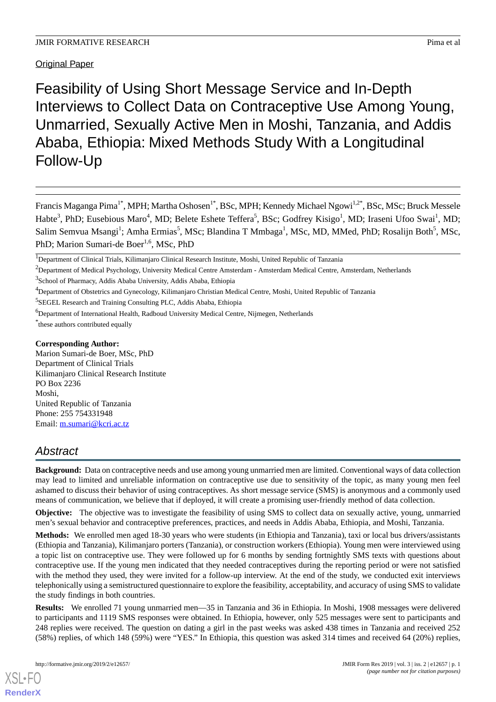## Original Paper

Feasibility of Using Short Message Service and In-Depth Interviews to Collect Data on Contraceptive Use Among Young, Unmarried, Sexually Active Men in Moshi, Tanzania, and Addis Ababa, Ethiopia: Mixed Methods Study With a Longitudinal Follow-Up

Francis Maganga Pima<sup>1\*</sup>, MPH; Martha Oshosen<sup>1\*</sup>, BSc, MPH; Kennedy Michael Ngowi<sup>1,2\*</sup>, BSc, MSc; Bruck Messele Habte<sup>3</sup>, PhD; Eusebious Maro<sup>4</sup>, MD; Belete Eshete Teffera<sup>5</sup>, BSc; Godfrey Kisigo<sup>1</sup>, MD; Iraseni Ufoo Swai<sup>1</sup>, MD; Salim Semvua Msangi<sup>1</sup>; Amha Ermias<sup>5</sup>, MSc; Blandina T Mmbaga<sup>1</sup>, MSc, MD, MMed, PhD; Rosalijn Both<sup>5</sup>, MSc, PhD; Marion Sumari-de Boer<sup>1,6</sup>, MSc, PhD

3 School of Pharmacy, Addis Ababa University, Addis Ababa, Ethiopia

<sup>4</sup>Department of Obstetrics and Gynecology, Kilimanjaro Christian Medical Centre, Moshi, United Republic of Tanzania

5 SEGEL Research and Training Consulting PLC, Addis Ababa, Ethiopia

<sup>6</sup>Department of International Health, Radboud University Medical Centre, Nijmegen, Netherlands

\* these authors contributed equally

#### **Corresponding Author:**

Marion Sumari-de Boer, MSc, PhD Department of Clinical Trials Kilimanjaro Clinical Research Institute PO Box 2236 Moshi, United Republic of Tanzania Phone: 255 754331948 Email: [m.sumari@kcri.ac.tz](mailto:m.sumari@kcri.ac.tz)

# *Abstract*

**Background:** Data on contraceptive needs and use among young unmarried men are limited. Conventional ways of data collection may lead to limited and unreliable information on contraceptive use due to sensitivity of the topic, as many young men feel ashamed to discuss their behavior of using contraceptives. As short message service (SMS) is anonymous and a commonly used means of communication, we believe that if deployed, it will create a promising user-friendly method of data collection.

**Objective:** The objective was to investigate the feasibility of using SMS to collect data on sexually active, young, unmarried men's sexual behavior and contraceptive preferences, practices, and needs in Addis Ababa, Ethiopia, and Moshi, Tanzania.

**Methods:** We enrolled men aged 18-30 years who were students (in Ethiopia and Tanzania), taxi or local bus drivers/assistants (Ethiopia and Tanzania), Kilimanjaro porters (Tanzania), or construction workers (Ethiopia). Young men were interviewed using a topic list on contraceptive use. They were followed up for 6 months by sending fortnightly SMS texts with questions about contraceptive use. If the young men indicated that they needed contraceptives during the reporting period or were not satisfied with the method they used, they were invited for a follow-up interview. At the end of the study, we conducted exit interviews telephonically using a semistructured questionnaire to explore the feasibility, acceptability, and accuracy of using SMS to validate the study findings in both countries.

**Results:** We enrolled 71 young unmarried men—35 in Tanzania and 36 in Ethiopia. In Moshi, 1908 messages were delivered to participants and 1119 SMS responses were obtained. In Ethiopia, however, only 525 messages were sent to participants and 248 replies were received. The question on dating a girl in the past weeks was asked 438 times in Tanzania and received 252 (58%) replies, of which 148 (59%) were "YES." In Ethiopia, this question was asked 314 times and received 64 (20%) replies,

<sup>&</sup>lt;sup>1</sup>Department of Clinical Trials, Kilimanjaro Clinical Research Institute, Moshi, United Republic of Tanzania

<sup>&</sup>lt;sup>2</sup>Department of Medical Psychology, University Medical Centre Amsterdam - Amsterdam Medical Centre, Amsterdam, Netherlands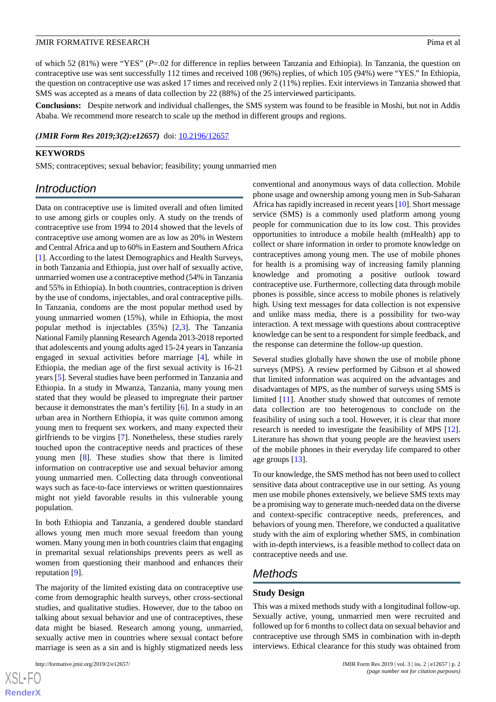of which 52 (81%) were "YES" (*P*=.02 for difference in replies between Tanzania and Ethiopia). In Tanzania, the question on contraceptive use was sent successfully 112 times and received 108 (96%) replies, of which 105 (94%) were "YES." In Ethiopia, the question on contraceptive use was asked 17 times and received only 2 (11%) replies. Exit interviews in Tanzania showed that SMS was accepted as a means of data collection by 22 (88%) of the 25 interviewed participants.

**Conclusions:** Despite network and individual challenges, the SMS system was found to be feasible in Moshi, but not in Addis Ababa. We recommend more research to scale up the method in different groups and regions.

*(JMIR Form Res 2019;3(2):e12657)* doi:  $10.2196/12657$ 

#### **KEYWORDS**

SMS; contraceptives; sexual behavior; feasibility; young unmarried men

## *Introduction*

Data on contraceptive use is limited overall and often limited to use among girls or couples only. A study on the trends of contraceptive use from 1994 to 2014 showed that the levels of contraceptive use among women are as low as 20% in Western and Central Africa and up to 60% in Eastern and Southern Africa [[1\]](#page-7-0). According to the latest Demographics and Health Surveys, in both Tanzania and Ethiopia, just over half of sexually active, unmarried women use a contraceptive method (54% in Tanzania and 55% in Ethiopia). In both countries, contraception is driven by the use of condoms, injectables, and oral contraceptive pills. In Tanzania, condoms are the most popular method used by young unmarried women (15%), while in Ethiopia, the most popular method is injectables (35%) [\[2](#page-7-1),[3\]](#page-7-2). The Tanzania National Family planning Research Agenda 2013-2018 reported that adolescents and young adults aged 15-24 years in Tanzania engaged in sexual activities before marriage [\[4](#page-7-3)], while in Ethiopia, the median age of the first sexual activity is 16-21 years [\[5](#page-7-4)]. Several studies have been performed in Tanzania and Ethiopia. In a study in Mwanza, Tanzania, many young men stated that they would be pleased to impregnate their partner because it demonstrates the man's fertility [[6\]](#page-7-5). In a study in an urban area in Northern Ethiopia, it was quite common among young men to frequent sex workers, and many expected their girlfriends to be virgins [\[7](#page-7-6)]. Nonetheless, these studies rarely touched upon the contraceptive needs and practices of these young men [\[8](#page-7-7)]. These studies show that there is limited information on contraceptive use and sexual behavior among young unmarried men. Collecting data through conventional ways such as face-to-face interviews or written questionnaires might not yield favorable results in this vulnerable young population.

In both Ethiopia and Tanzania, a gendered double standard allows young men much more sexual freedom than young women. Many young men in both countries claim that engaging in premarital sexual relationships prevents peers as well as women from questioning their manhood and enhances their reputation [[9\]](#page-7-8).

The majority of the limited existing data on contraceptive use come from demographic health surveys, other cross-sectional studies, and qualitative studies. However, due to the taboo on talking about sexual behavior and use of contraceptives, these data might be biased. Research among young, unmarried, sexually active men in countries where sexual contact before marriage is seen as a sin and is highly stigmatized needs less

conventional and anonymous ways of data collection. Mobile phone usage and ownership among young men in Sub-Saharan Africa has rapidly increased in recent years [[10\]](#page-7-9). Short message service (SMS) is a commonly used platform among young people for communication due to its low cost. This provides opportunities to introduce a mobile health (mHealth) app to collect or share information in order to promote knowledge on contraceptives among young men. The use of mobile phones for health is a promising way of increasing family planning knowledge and promoting a positive outlook toward contraceptive use. Furthermore, collecting data through mobile phones is possible, since access to mobile phones is relatively high. Using text messages for data collection is not expensive and unlike mass media, there is a possibility for two-way interaction. A text message with questions about contraceptive knowledge can be sent to a respondent for simple feedback, and the response can determine the follow-up question.

Several studies globally have shown the use of mobile phone surveys (MPS). A review performed by Gibson et al showed that limited information was acquired on the advantages and disadvantages of MPS, as the number of surveys using SMS is limited [[11\]](#page-7-10). Another study showed that outcomes of remote data collection are too heterogenous to conclude on the feasibility of using such a tool. However, it is clear that more research is needed to investigate the feasibility of MPS [[12\]](#page-8-0). Literature has shown that young people are the heaviest users of the mobile phones in their everyday life compared to other age groups [\[13](#page-8-1)].

To our knowledge, the SMS method has not been used to collect sensitive data about contraceptive use in our setting. As young men use mobile phones extensively, we believe SMS texts may be a promising way to generate much-needed data on the diverse and context-specific contraceptive needs, preferences, and behaviors of young men. Therefore, we conducted a qualitative study with the aim of exploring whether SMS, in combination with in-depth interviews, is a feasible method to collect data on contraceptive needs and use.

## *Methods*

#### **Study Design**

This was a mixed methods study with a longitudinal follow-up. Sexually active, young, unmarried men were recruited and followed up for 6 months to collect data on sexual behavior and contraceptive use through SMS in combination with in-depth interviews. Ethical clearance for this study was obtained from

 $XS$ -FO **[RenderX](http://www.renderx.com/)**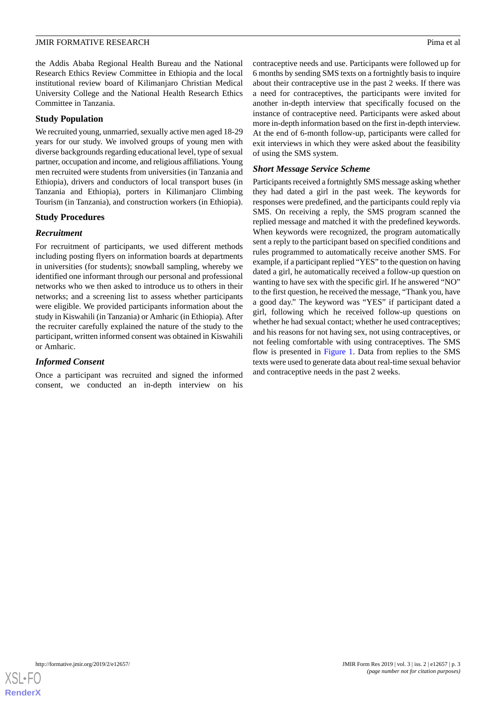the Addis Ababa Regional Health Bureau and the National Research Ethics Review Committee in Ethiopia and the local institutional review board of Kilimanjaro Christian Medical University College and the National Health Research Ethics Committee in Tanzania.

#### **Study Population**

We recruited young, unmarried, sexually active men aged 18-29 years for our study. We involved groups of young men with diverse backgrounds regarding educational level, type of sexual partner, occupation and income, and religious affiliations. Young men recruited were students from universities (in Tanzania and Ethiopia), drivers and conductors of local transport buses (in Tanzania and Ethiopia), porters in Kilimanjaro Climbing Tourism (in Tanzania), and construction workers (in Ethiopia).

#### **Study Procedures**

#### *Recruitment*

For recruitment of participants, we used different methods including posting flyers on information boards at departments in universities (for students); snowball sampling, whereby we identified one informant through our personal and professional networks who we then asked to introduce us to others in their networks; and a screening list to assess whether participants were eligible. We provided participants information about the study in Kiswahili (in Tanzania) or Amharic (in Ethiopia). After the recruiter carefully explained the nature of the study to the participant, written informed consent was obtained in Kiswahili or Amharic.

### *Informed Consent*

Once a participant was recruited and signed the informed consent, we conducted an in-depth interview on his contraceptive needs and use. Participants were followed up for 6 months by sending SMS texts on a fortnightly basis to inquire about their contraceptive use in the past 2 weeks. If there was a need for contraceptives, the participants were invited for another in-depth interview that specifically focused on the instance of contraceptive need. Participants were asked about more in-depth information based on the first in-depth interview. At the end of 6-month follow-up, participants were called for exit interviews in which they were asked about the feasibility of using the SMS system.

#### *Short Message Service Scheme*

Participants received a fortnightly SMS message asking whether they had dated a girl in the past week. The keywords for responses were predefined, and the participants could reply via SMS. On receiving a reply, the SMS program scanned the replied message and matched it with the predefined keywords. When keywords were recognized, the program automatically sent a reply to the participant based on specified conditions and rules programmed to automatically receive another SMS. For example, if a participant replied "YES" to the question on having dated a girl, he automatically received a follow-up question on wanting to have sex with the specific girl. If he answered "NO" to the first question, he received the message, "Thank you, have a good day." The keyword was "YES" if participant dated a girl, following which he received follow-up questions on whether he had sexual contact; whether he used contraceptives; and his reasons for not having sex, not using contraceptives, or not feeling comfortable with using contraceptives. The SMS flow is presented in [Figure 1.](#page-3-0) Data from replies to the SMS texts were used to generate data about real-time sexual behavior and contraceptive needs in the past 2 weeks.

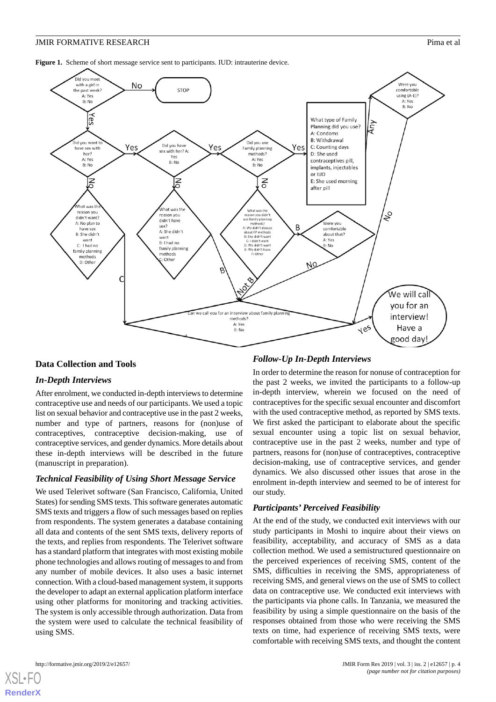<span id="page-3-0"></span>Figure 1. Scheme of short message service sent to participants. IUD: intrauterine device.



#### **Data Collection and Tools**

#### *In-Depth Interviews*

After enrolment, we conducted in-depth interviews to determine contraceptive use and needs of our participants. We used a topic list on sexual behavior and contraceptive use in the past 2 weeks, number and type of partners, reasons for (non)use of contraceptives, contraceptive decision-making, use of contraceptive services, and gender dynamics. More details about these in-depth interviews will be described in the future (manuscript in preparation).

#### *Technical Feasibility of Using Short Message Service*

We used Telerivet software (San Francisco, California, United States) for sending SMS texts. This software generates automatic SMS texts and triggers a flow of such messages based on replies from respondents. The system generates a database containing all data and contents of the sent SMS texts, delivery reports of the texts, and replies from respondents. The Telerivet software has a standard platform that integrates with most existing mobile phone technologies and allows routing of messages to and from any number of mobile devices. It also uses a basic internet connection. With a cloud-based management system, it supports the developer to adapt an external application platform interface using other platforms for monitoring and tracking activities. The system is only accessible through authorization. Data from the system were used to calculate the technical feasibility of using SMS.

#### *Follow-Up In-Depth Interviews*

In order to determine the reason for nonuse of contraception for the past 2 weeks, we invited the participants to a follow-up in-depth interview, wherein we focused on the need of contraceptives for the specific sexual encounter and discomfort with the used contraceptive method, as reported by SMS texts. We first asked the participant to elaborate about the specific sexual encounter using a topic list on sexual behavior, contraceptive use in the past 2 weeks, number and type of partners, reasons for (non)use of contraceptives, contraceptive decision-making, use of contraceptive services, and gender dynamics. We also discussed other issues that arose in the enrolment in-depth interview and seemed to be of interest for our study.

#### *Participants' Perceived Feasibility*

At the end of the study, we conducted exit interviews with our study participants in Moshi to inquire about their views on feasibility, acceptability, and accuracy of SMS as a data collection method. We used a semistructured questionnaire on the perceived experiences of receiving SMS, content of the SMS, difficulties in receiving the SMS, appropriateness of receiving SMS, and general views on the use of SMS to collect data on contraceptive use. We conducted exit interviews with the participants via phone calls. In Tanzania, we measured the feasibility by using a simple questionnaire on the basis of the responses obtained from those who were receiving the SMS texts on time, had experience of receiving SMS texts, were comfortable with receiving SMS texts, and thought the content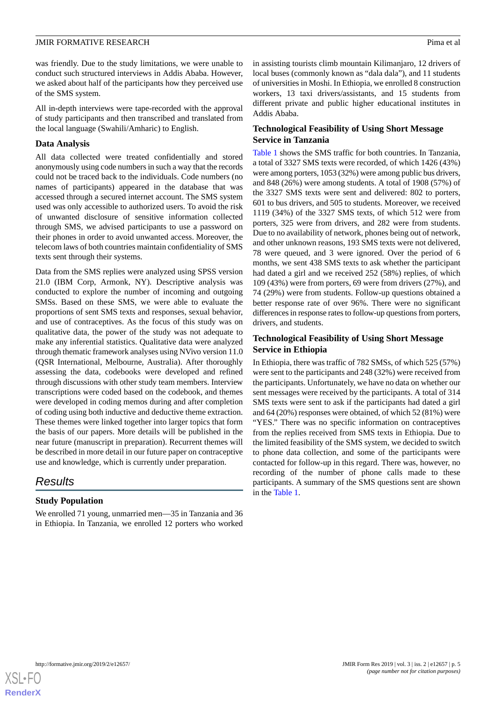was friendly. Due to the study limitations, we were unable to conduct such structured interviews in Addis Ababa. However, we asked about half of the participants how they perceived use of the SMS system.

All in-depth interviews were tape-recorded with the approval of study participants and then transcribed and translated from the local language (Swahili/Amharic) to English.

#### **Data Analysis**

All data collected were treated confidentially and stored anonymously using code numbers in such a way that the records could not be traced back to the individuals. Code numbers (no names of participants) appeared in the database that was accessed through a secured internet account. The SMS system used was only accessible to authorized users. To avoid the risk of unwanted disclosure of sensitive information collected through SMS, we advised participants to use a password on their phones in order to avoid unwanted access. Moreover, the telecom laws of both countries maintain confidentiality of SMS texts sent through their systems.

Data from the SMS replies were analyzed using SPSS version 21.0 (IBM Corp, Armonk, NY). Descriptive analysis was conducted to explore the number of incoming and outgoing SMSs. Based on these SMS, we were able to evaluate the proportions of sent SMS texts and responses, sexual behavior, and use of contraceptives. As the focus of this study was on qualitative data, the power of the study was not adequate to make any inferential statistics. Qualitative data were analyzed through thematic framework analyses using NVivo version 11.0 (QSR International, Melbourne, Australia). After thoroughly assessing the data, codebooks were developed and refined through discussions with other study team members. Interview transcriptions were coded based on the codebook, and themes were developed in coding memos during and after completion of coding using both inductive and deductive theme extraction. These themes were linked together into larger topics that form the basis of our papers. More details will be published in the near future (manuscript in preparation). Recurrent themes will be described in more detail in our future paper on contraceptive use and knowledge, which is currently under preparation.

## *Results*

## **Study Population**

We enrolled 71 young, unmarried men—35 in Tanzania and 36 in Ethiopia. In Tanzania, we enrolled 12 porters who worked

in assisting tourists climb mountain Kilimanjaro, 12 drivers of local buses (commonly known as "dala dala"), and 11 students of universities in Moshi. In Ethiopia, we enrolled 8 construction workers, 13 taxi drivers/assistants, and 15 students from different private and public higher educational institutes in Addis Ababa.

### **Technological Feasibility of Using Short Message Service in Tanzania**

[Table 1](#page-5-0) shows the SMS traffic for both countries. In Tanzania, a total of 3327 SMS texts were recorded, of which 1426 (43%) were among porters, 1053 (32%) were among public bus drivers, and 848 (26%) were among students. A total of 1908 (57%) of the 3327 SMS texts were sent and delivered: 802 to porters, 601 to bus drivers, and 505 to students. Moreover, we received 1119 (34%) of the 3327 SMS texts, of which 512 were from porters, 325 were from drivers, and 282 were from students. Due to no availability of network, phones being out of network, and other unknown reasons, 193 SMS texts were not delivered, 78 were queued, and 3 were ignored. Over the period of 6 months, we sent 438 SMS texts to ask whether the participant had dated a girl and we received 252 (58%) replies, of which 109 (43%) were from porters, 69 were from drivers (27%), and 74 (29%) were from students. Follow-up questions obtained a better response rate of over 96%. There were no significant differences in response rates to follow-up questions from porters, drivers, and students.

## **Technological Feasibility of Using Short Message Service in Ethiopia**

In Ethiopia, there was traffic of 782 SMSs, of which 525 (57%) were sent to the participants and 248 (32%) were received from the participants. Unfortunately, we have no data on whether our sent messages were received by the participants. A total of 314 SMS texts were sent to ask if the participants had dated a girl and 64 (20%) responses were obtained, of which 52 (81%) were "YES." There was no specific information on contraceptives from the replies received from SMS texts in Ethiopia. Due to the limited feasibility of the SMS system, we decided to switch to phone data collection, and some of the participants were contacted for follow-up in this regard. There was, however, no recording of the number of phone calls made to these participants. A summary of the SMS questions sent are shown in the [Table 1](#page-5-0).

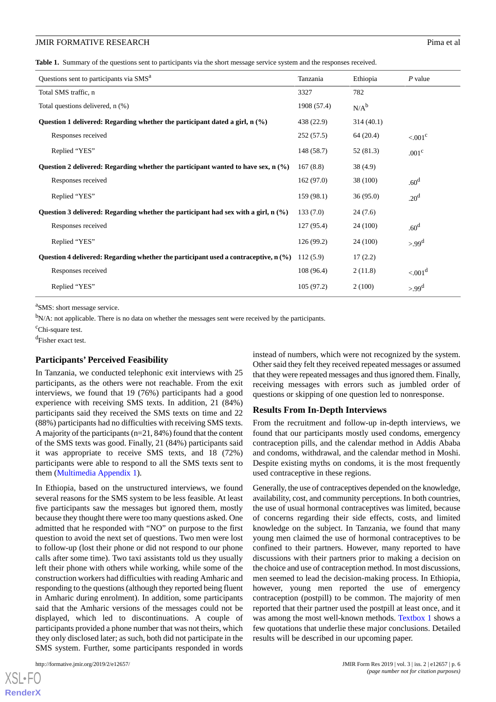#### **JMIR FORMATIVE RESEARCH Pima et al. Pima et al. Pima et al. Pima et al. Pima et al. Pima et al. Pima et al. Pima et al. Pima et al. Pima et al. Pima et al. Pima et al. Pima et al. Pima et al.**

<span id="page-5-0"></span>**Table 1.** Summary of the questions sent to participants via the short message service system and the responses received.

| Questions sent to participants via SMS <sup>a</sup>                                          | Tanzania    | Ethiopia  | $P$ value             |
|----------------------------------------------------------------------------------------------|-------------|-----------|-----------------------|
| Total SMS traffic, n                                                                         | 3327        | 782       |                       |
| Total questions delivered, n (%)                                                             | 1908 (57.4) | $N/A^b$   |                       |
| Question 1 delivered: Regarding whether the participant dated a girl, $n$ (%)                | 438 (22.9)  | 314(40.1) |                       |
| Responses received                                                                           | 252(57.5)   | 64 (20.4) | $< 0.01$ <sup>c</sup> |
| Replied "YES"                                                                                | 148 (58.7)  | 52 (81.3) | .001 <sup>c</sup>     |
| Question 2 delivered: Regarding whether the participant wanted to have sex, $n \binom{0}{0}$ | 167(8.8)    | 38(4.9)   |                       |
| Responses received                                                                           | 162(97.0)   | 38 (100)  | .60 <sup>d</sup>      |
| Replied "YES"                                                                                | 159(98.1)   | 36(95.0)  | .20 <sup>d</sup>      |
| Question 3 delivered: Regarding whether the participant had sex with a girl, $n$ (%)         | 133(7.0)    | 24(7.6)   |                       |
| Responses received                                                                           | 127(95.4)   | 24 (100)  | .60 <sup>d</sup>      |
| Replied "YES"                                                                                | 126(99.2)   | 24 (100)  | $>99^d$               |
| Question 4 delivered: Regarding whether the participant used a contraceptive, $n \leq 2$     | 112(5.9)    | 17(2.2)   |                       |
| Responses received                                                                           | 108(96.4)   | 2(11.8)   | < 0.01 <sup>d</sup>   |
| Replied "YES"                                                                                | 105(97.2)   | 2(100)    | $>99^d$               |
|                                                                                              |             |           |                       |

<sup>a</sup>SMS: short message service.

 $b_{N/A}$ : not applicable. There is no data on whether the messages sent were received by the participants.

 $\mathrm{c}_{\text{Chi-square test}}$ .

d Fisher exact test.

#### **Participants' Perceived Feasibility**

In Tanzania, we conducted telephonic exit interviews with 25 participants, as the others were not reachable. From the exit interviews, we found that 19 (76%) participants had a good experience with receiving SMS texts. In addition, 21 (84%) participants said they received the SMS texts on time and 22 (88%) participants had no difficulties with receiving SMS texts. A majority of the participants (n=21, 84%) found that the content of the SMS texts was good. Finally, 21 (84%) participants said it was appropriate to receive SMS texts, and 18 (72%) participants were able to respond to all the SMS texts sent to them [\(Multimedia Appendix 1](#page-7-11)).

In Ethiopia, based on the unstructured interviews, we found several reasons for the SMS system to be less feasible. At least five participants saw the messages but ignored them, mostly because they thought there were too many questions asked. One admitted that he responded with "NO" on purpose to the first question to avoid the next set of questions. Two men were lost to follow-up (lost their phone or did not respond to our phone calls after some time). Two taxi assistants told us they usually left their phone with others while working, while some of the construction workers had difficulties with reading Amharic and responding to the questions (although they reported being fluent in Amharic during enrolment). In addition, some participants said that the Amharic versions of the messages could not be displayed, which led to discontinuations. A couple of participants provided a phone number that was not theirs, which they only disclosed later; as such, both did not participate in the SMS system. Further, some participants responded in words

instead of numbers, which were not recognized by the system. Other said they felt they received repeated messages or assumed that they were repeated messages and thus ignored them. Finally, receiving messages with errors such as jumbled order of questions or skipping of one question led to nonresponse.

#### **Results From In-Depth Interviews**

From the recruitment and follow-up in-depth interviews, we found that our participants mostly used condoms, emergency contraception pills, and the calendar method in Addis Ababa and condoms, withdrawal, and the calendar method in Moshi. Despite existing myths on condoms, it is the most frequently used contraceptive in these regions.

Generally, the use of contraceptives depended on the knowledge, availability, cost, and community perceptions. In both countries, the use of usual hormonal contraceptives was limited, because of concerns regarding their side effects, costs, and limited knowledge on the subject. In Tanzania, we found that many young men claimed the use of hormonal contraceptives to be confined to their partners. However, many reported to have discussions with their partners prior to making a decision on the choice and use of contraception method. In most discussions, men seemed to lead the decision-making process. In Ethiopia, however, young men reported the use of emergency contraception (postpill) to be common. The majority of men reported that their partner used the postpill at least once, and it was among the most well-known methods. [Textbox 1](#page-6-0) shows a few quotations that underlie these major conclusions. Detailed results will be described in our upcoming paper.

 $XS$  • FO **[RenderX](http://www.renderx.com/)**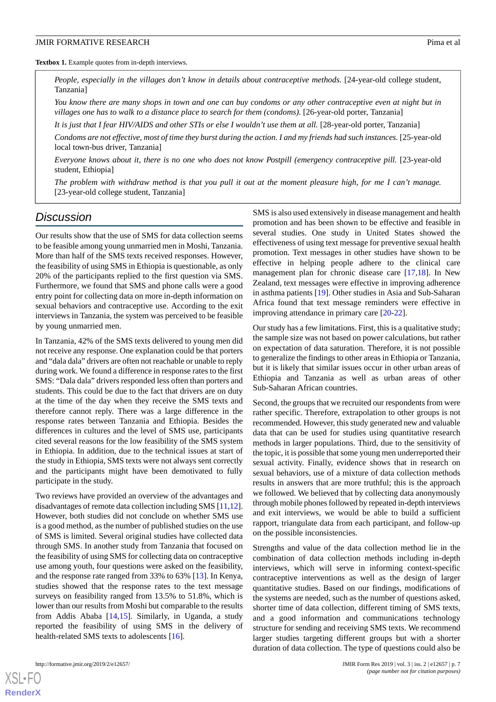<span id="page-6-0"></span>Textbox 1. Example quotes from in-depth interviews.

*People, especially in the villages don't know in details about contraceptive methods.* [24-year-old college student, Tanzania]

*You know there are many shops in town and one can buy condoms or any other contraceptive even at night but in villages one has to walk to a distance place to search for them (condoms).* [26-year-old porter, Tanzania]

*It is just that I fear HIV/AIDS and other STIs or else I wouldn't use them at all.* [28-year-old porter, Tanzania]

*Condoms are not effective, most of time they burst during the action. I and my friends had such instances.* [25-year-old local town-bus driver, Tanzania]

*Everyone knows about it, there is no one who does not know Postpill (emergency contraceptive pill.* [23-year-old student, Ethiopia]

*The problem with withdraw method is that you pull it out at the moment pleasure high, for me I can't manage.* [23-year-old college student, Tanzania]

## *Discussion*

Our results show that the use of SMS for data collection seems to be feasible among young unmarried men in Moshi, Tanzania. More than half of the SMS texts received responses. However, the feasibility of using SMS in Ethiopia is questionable, as only 20% of the participants replied to the first question via SMS. Furthermore, we found that SMS and phone calls were a good entry point for collecting data on more in-depth information on sexual behaviors and contraceptive use. According to the exit interviews in Tanzania, the system was perceived to be feasible by young unmarried men.

In Tanzania, 42% of the SMS texts delivered to young men did not receive any response. One explanation could be that porters and "dala dala" drivers are often not reachable or unable to reply during work. We found a difference in response rates to the first SMS: "Dala dala" drivers responded less often than porters and students. This could be due to the fact that drivers are on duty at the time of the day when they receive the SMS texts and therefore cannot reply. There was a large difference in the response rates between Tanzania and Ethiopia. Besides the differences in cultures and the level of SMS use, participants cited several reasons for the low feasibility of the SMS system in Ethiopia. In addition, due to the technical issues at start of the study in Ethiopia, SMS texts were not always sent correctly and the participants might have been demotivated to fully participate in the study.

Two reviews have provided an overview of the advantages and disadvantages of remote data collection including SMS [[11,](#page-7-10)[12\]](#page-8-0). However, both studies did not conclude on whether SMS use is a good method, as the number of published studies on the use of SMS is limited. Several original studies have collected data through SMS. In another study from Tanzania that focused on the feasibility of using SMS for collecting data on contraceptive use among youth, four questions were asked on the feasibility, and the response rate ranged from 33% to 63% [[13\]](#page-8-1). In Kenya, studies showed that the response rates to the text message surveys on feasibility ranged from 13.5% to 51.8%, which is lower than our results from Moshi but comparable to the results from Addis Ababa [[14](#page-8-2)[,15](#page-8-3)]. Similarly, in Uganda, a study reported the feasibility of using SMS in the delivery of health-related SMS texts to adolescents [[16\]](#page-8-4).

SMS is also used extensively in disease management and health promotion and has been shown to be effective and feasible in several studies. One study in United States showed the effectiveness of using text message for preventive sexual health promotion. Text messages in other studies have shown to be effective in helping people adhere to the clinical care management plan for chronic disease care [[17,](#page-8-5)[18](#page-8-6)]. In New Zealand, text messages were effective in improving adherence in asthma patients [\[19](#page-8-7)]. Other studies in Asia and Sub-Saharan Africa found that text message reminders were effective in improving attendance in primary care [[20](#page-8-8)[-22](#page-8-9)].

Our study has a few limitations. First, this is a qualitative study; the sample size was not based on power calculations, but rather on expectation of data saturation. Therefore, it is not possible to generalize the findings to other areas in Ethiopia or Tanzania, but it is likely that similar issues occur in other urban areas of Ethiopia and Tanzania as well as urban areas of other Sub-Saharan African countries.

Second, the groups that we recruited our respondents from were rather specific. Therefore, extrapolation to other groups is not recommended. However, this study generated new and valuable data that can be used for studies using quantitative research methods in larger populations. Third, due to the sensitivity of the topic, it is possible that some young men underreported their sexual activity. Finally, evidence shows that in research on sexual behaviors, use of a mixture of data collection methods results in answers that are more truthful; this is the approach we followed. We believed that by collecting data anonymously through mobile phones followed by repeated in-depth interviews and exit interviews, we would be able to build a sufficient rapport, triangulate data from each participant, and follow-up on the possible inconsistencies.

Strengths and value of the data collection method lie in the combination of data collection methods including in-depth interviews, which will serve in informing context-specific contraceptive interventions as well as the design of larger quantitative studies. Based on our findings, modifications of the systems are needed, such as the number of questions asked, shorter time of data collection, different timing of SMS texts, and a good information and communications technology structure for sending and receiving SMS texts. We recommend larger studies targeting different groups but with a shorter duration of data collection. The type of questions could also be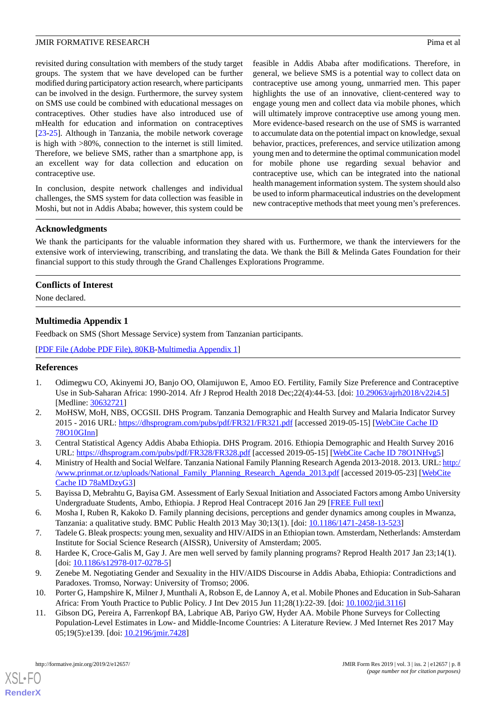revisited during consultation with members of the study target groups. The system that we have developed can be further modified during participatory action research, where participants can be involved in the design. Furthermore, the survey system on SMS use could be combined with educational messages on contraceptives. Other studies have also introduced use of mHealth for education and information on contraceptives [[23](#page-8-10)[-25](#page-8-11)]. Although in Tanzania, the mobile network coverage is high with >80%, connection to the internet is still limited. Therefore, we believe SMS, rather than a smartphone app, is an excellent way for data collection and education on contraceptive use.

In conclusion, despite network challenges and individual challenges, the SMS system for data collection was feasible in Moshi, but not in Addis Ababa; however, this system could be

feasible in Addis Ababa after modifications. Therefore, in general, we believe SMS is a potential way to collect data on contraceptive use among young, unmarried men. This paper highlights the use of an innovative, client-centered way to engage young men and collect data via mobile phones, which will ultimately improve contraceptive use among young men. More evidence-based research on the use of SMS is warranted to accumulate data on the potential impact on knowledge, sexual behavior, practices, preferences, and service utilization among young men and to determine the optimal communication model for mobile phone use regarding sexual behavior and contraceptive use, which can be integrated into the national health management information system. The system should also be used to inform pharmaceutical industries on the development new contraceptive methods that meet young men's preferences.

### **Acknowledgments**

We thank the participants for the valuable information they shared with us. Furthermore, we thank the interviewers for the extensive work of interviewing, transcribing, and translating the data. We thank the Bill & Melinda Gates Foundation for their financial support to this study through the Grand Challenges Explorations Programme.

#### <span id="page-7-11"></span>**Conflicts of Interest**

None declared.

### **Multimedia Appendix 1**

Feedback on SMS (Short Message Service) system from Tanzanian participants.

<span id="page-7-0"></span>[[PDF File \(Adobe PDF File\), 80KB-Multimedia Appendix 1](https://jmir.org/api/download?alt_name=formative_v3i2e12657_app1.pdf&filename=ed5ce2c0aabd59451721d674ccf3a338.pdf)]

#### <span id="page-7-1"></span>**References**

- 1. Odimegwu CO, Akinyemi JO, Banjo OO, Olamijuwon E, Amoo EO. Fertility, Family Size Preference and Contraceptive Use in Sub-Saharan Africa: 1990-2014. Afr J Reprod Health 2018 Dec;22(4):44-53. [doi: [10.29063/ajrh2018/v22i4.5\]](http://dx.doi.org/10.29063/ajrh2018/v22i4.5) [Medline: [30632721](http://www.ncbi.nlm.nih.gov/entrez/query.fcgi?cmd=Retrieve&db=PubMed&list_uids=30632721&dopt=Abstract)]
- <span id="page-7-3"></span><span id="page-7-2"></span>2. MoHSW, MoH, NBS, OCGSII. DHS Program. Tanzania Demographic and Health Survey and Malaria Indicator Survey 2015 - 2016 URL: <https://dhsprogram.com/pubs/pdf/FR321/FR321.pdf> [accessed 2019-05-15] [[WebCite Cache ID](http://www.webcitation.org/

                                78O10GInn) [78O10GInn](http://www.webcitation.org/

                                78O10GInn)]
- <span id="page-7-4"></span>3. Central Statistical Agency Addis Ababa Ethiopia. DHS Program. 2016. Ethiopia Demographic and Health Survey 2016 URL: <https://dhsprogram.com/pubs/pdf/FR328/FR328.pdf> [accessed 2019-05-15] [[WebCite Cache ID 78O1NHvg5](http://www.webcitation.org/

                                78O1NHvg5)]
- <span id="page-7-5"></span>4. Ministry of Health and Social Welfare. Tanzania National Family Planning Research Agenda 2013-2018. 2013. URL: [http:/](http://www.prinmat.or.tz/uploads/National_Family_Planning_Research_Agenda_2013.pdf) [/www.prinmat.or.tz/uploads/National\\_Family\\_Planning\\_Research\\_Agenda\\_2013.pdf](http://www.prinmat.or.tz/uploads/National_Family_Planning_Research_Agenda_2013.pdf) [accessed 2019-05-23] [\[WebCite](http://www.webcitation.org/

                                78aMDzyG3) [Cache ID 78aMDzyG3](http://www.webcitation.org/

                                78aMDzyG3)]
- <span id="page-7-7"></span><span id="page-7-6"></span>5. Bayissa D, Mebrahtu G, Bayisa GM. Assessment of Early Sexual Initiation and Associated Factors among Ambo University Undergraduate Students, Ambo, Ethiopia. J Reprod Heal Contracept 2016 Jan 29 [[FREE Full text](http://contraceptivestudies.imedpub.com/assessment-of-early-sexual-initiation-and-associated-factors-among-ambo-university-undergraduate-students-ambo-ethiopia.php?aid=8495)]
- <span id="page-7-8"></span>6. Mosha I, Ruben R, Kakoko D. Family planning decisions, perceptions and gender dynamics among couples in Mwanza, Tanzania: a qualitative study. BMC Public Health 2013 May 30;13(1). [doi: [10.1186/1471-2458-13-523](http://dx.doi.org/10.1186/1471-2458-13-523)]
- <span id="page-7-9"></span>7. Tadele G. Bleak prospects: young men, sexuality and HIV/AIDS in an Ethiopian town. Amsterdam, Netherlands: Amsterdam Institute for Social Science Research (AISSR), University of Amsterdam; 2005.
- <span id="page-7-10"></span>8. Hardee K, Croce-Galis M, Gay J. Are men well served by family planning programs? Reprod Health 2017 Jan 23;14(1). [doi: [10.1186/s12978-017-0278-5](http://dx.doi.org/10.1186/s12978-017-0278-5)]
- 9. Zenebe M. Negotiating Gender and Sexuality in the HIV/AIDS Discourse in Addis Ababa, Ethiopia: Contradictions and Paradoxes. Tromso, Norway: University of Tromso; 2006.
- 10. Porter G, Hampshire K, Milner J, Munthali A, Robson E, de Lannoy A, et al. Mobile Phones and Education in Sub-Saharan Africa: From Youth Practice to Public Policy. J Int Dev 2015 Jun 11;28(1):22-39. [doi: [10.1002/jid.3116\]](http://dx.doi.org/10.1002/jid.3116)
- 11. Gibson DG, Pereira A, Farrenkopf BA, Labrique AB, Pariyo GW, Hyder AA. Mobile Phone Surveys for Collecting Population-Level Estimates in Low- and Middle-Income Countries: A Literature Review. J Med Internet Res 2017 May 05;19(5):e139. [doi: [10.2196/jmir.7428\]](http://dx.doi.org/10.2196/jmir.7428)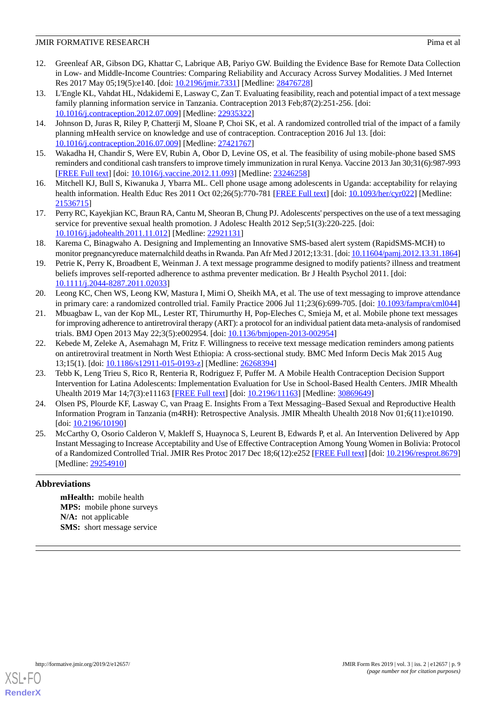- <span id="page-8-0"></span>12. Greenleaf AR, Gibson DG, Khattar C, Labrique AB, Pariyo GW. Building the Evidence Base for Remote Data Collection in Low- and Middle-Income Countries: Comparing Reliability and Accuracy Across Survey Modalities. J Med Internet Res 2017 May 05;19(5):e140. [doi: [10.2196/jmir.7331](http://dx.doi.org/10.2196/jmir.7331)] [Medline: [28476728](http://www.ncbi.nlm.nih.gov/entrez/query.fcgi?cmd=Retrieve&db=PubMed&list_uids=28476728&dopt=Abstract)]
- <span id="page-8-1"></span>13. L'Engle KL, Vahdat HL, Ndakidemi E, Lasway C, Zan T. Evaluating feasibility, reach and potential impact of a text message family planning information service in Tanzania. Contraception 2013 Feb;87(2):251-256. [doi: [10.1016/j.contraception.2012.07.009](http://dx.doi.org/10.1016/j.contraception.2012.07.009)] [Medline: [22935322\]](http://www.ncbi.nlm.nih.gov/entrez/query.fcgi?cmd=Retrieve&db=PubMed&list_uids=22935322&dopt=Abstract)
- <span id="page-8-2"></span>14. Johnson D, Juras R, Riley P, Chatterji M, Sloane P, Choi SK, et al. A randomized controlled trial of the impact of a family planning mHealth service on knowledge and use of contraception. Contraception 2016 Jul 13. [doi: [10.1016/j.contraception.2016.07.009](http://dx.doi.org/10.1016/j.contraception.2016.07.009)] [Medline: [27421767\]](http://www.ncbi.nlm.nih.gov/entrez/query.fcgi?cmd=Retrieve&db=PubMed&list_uids=27421767&dopt=Abstract)
- <span id="page-8-4"></span><span id="page-8-3"></span>15. Wakadha H, Chandir S, Were EV, Rubin A, Obor D, Levine OS, et al. The feasibility of using mobile-phone based SMS reminders and conditional cash transfers to improve timely immunization in rural Kenya. Vaccine 2013 Jan 30;31(6):987-993 [[FREE Full text](http://europepmc.org/abstract/MED/23246258)] [doi: [10.1016/j.vaccine.2012.11.093\]](http://dx.doi.org/10.1016/j.vaccine.2012.11.093) [Medline: [23246258\]](http://www.ncbi.nlm.nih.gov/entrez/query.fcgi?cmd=Retrieve&db=PubMed&list_uids=23246258&dopt=Abstract)
- <span id="page-8-5"></span>16. Mitchell KJ, Bull S, Kiwanuka J, Ybarra ML. Cell phone usage among adolescents in Uganda: acceptability for relaying health information. Health Educ Res 2011 Oct 02;26(5):770-781 [\[FREE Full text\]](http://europepmc.org/abstract/MED/21536715) [doi: [10.1093/her/cyr022](http://dx.doi.org/10.1093/her/cyr022)] [Medline: [21536715](http://www.ncbi.nlm.nih.gov/entrez/query.fcgi?cmd=Retrieve&db=PubMed&list_uids=21536715&dopt=Abstract)]
- <span id="page-8-6"></span>17. Perry RC, Kayekjian KC, Braun RA, Cantu M, Sheoran B, Chung PJ. Adolescents' perspectives on the use of a text messaging service for preventive sexual health promotion. J Adolesc Health 2012 Sep;51(3):220-225. [doi: [10.1016/j.jadohealth.2011.11.012](http://dx.doi.org/10.1016/j.jadohealth.2011.11.012)] [Medline: [22921131](http://www.ncbi.nlm.nih.gov/entrez/query.fcgi?cmd=Retrieve&db=PubMed&list_uids=22921131&dopt=Abstract)]
- <span id="page-8-7"></span>18. Karema C, Binagwaho A. Designing and Implementing an Innovative SMS-based alert system (RapidSMS-MCH) to monitor pregnancyreduce maternalchild deaths in Rwanda. Pan Afr Med J 2012;13:31. [doi: [10.11604/pamj.2012.13.31.1864\]](http://dx.doi.org/10.11604/pamj.2012.13.31.1864)
- <span id="page-8-8"></span>19. Petrie K, Perry K, Broadbent E, Weinman J. A text message programme designed to modify patients? illness and treatment beliefs improves self-reported adherence to asthma preventer medication. Br J Health Psychol 2011. [doi: [10.1111/j.2044-8287.2011.02033](http://dx.doi.org/10.1111/j.2044-8287.2011.02033)]
- 20. Leong KC, Chen WS, Leong KW, Mastura I, Mimi O, Sheikh MA, et al. The use of text messaging to improve attendance in primary care: a randomized controlled trial. Family Practice 2006 Jul 11;23(6):699-705. [doi: [10.1093/fampra/cml044\]](http://dx.doi.org/10.1093/fampra/cml044)
- <span id="page-8-9"></span>21. Mbuagbaw L, van der Kop ML, Lester RT, Thirumurthy H, Pop-Eleches C, Smieja M, et al. Mobile phone text messages for improving adherence to antiretroviral therapy (ART): a protocol for an individual patient data meta-analysis of randomised trials. BMJ Open 2013 May 22;3(5):e002954. [doi: [10.1136/bmjopen-2013-002954\]](http://dx.doi.org/10.1136/bmjopen-2013-002954)
- <span id="page-8-10"></span>22. Kebede M, Zeleke A, Asemahagn M, Fritz F. Willingness to receive text message medication reminders among patients on antiretroviral treatment in North West Ethiopia: A cross-sectional study. BMC Med Inform Decis Mak 2015 Aug 13;15(1). [doi: [10.1186/s12911-015-0193-z\]](http://dx.doi.org/10.1186/s12911-015-0193-z) [Medline: [26268394\]](http://www.ncbi.nlm.nih.gov/entrez/query.fcgi?cmd=Retrieve&db=PubMed&list_uids=26268394&dopt=Abstract)
- 23. Tebb K, Leng Trieu S, Rico R, Renteria R, Rodriguez F, Puffer M. A Mobile Health Contraception Decision Support Intervention for Latina Adolescents: Implementation Evaluation for Use in School-Based Health Centers. JMIR Mhealth Uhealth 2019 Mar 14;7(3):e11163 [[FREE Full text](http://mhealth.jmir.org/2019/3/e11163/)] [doi: [10.2196/11163\]](http://dx.doi.org/10.2196/11163) [Medline: [30869649\]](http://www.ncbi.nlm.nih.gov/entrez/query.fcgi?cmd=Retrieve&db=PubMed&list_uids=30869649&dopt=Abstract)
- <span id="page-8-11"></span>24. Olsen PS, Plourde KF, Lasway C, van Praag E. Insights From a Text Messaging–Based Sexual and Reproductive Health Information Program in Tanzania (m4RH): Retrospective Analysis. JMIR Mhealth Uhealth 2018 Nov 01;6(11):e10190. [doi: [10.2196/10190](http://dx.doi.org/10.2196/10190)]
- 25. McCarthy O, Osorio Calderon V, Makleff S, Huaynoca S, Leurent B, Edwards P, et al. An Intervention Delivered by App Instant Messaging to Increase Acceptability and Use of Effective Contraception Among Young Women in Bolivia: Protocol of a Randomized Controlled Trial. JMIR Res Protoc 2017 Dec 18;6(12):e252 [[FREE Full text](http://www.researchprotocols.org/2017/12/e252/)] [doi: [10.2196/resprot.8679](http://dx.doi.org/10.2196/resprot.8679)] [Medline: [29254910](http://www.ncbi.nlm.nih.gov/entrez/query.fcgi?cmd=Retrieve&db=PubMed&list_uids=29254910&dopt=Abstract)]

## **Abbreviations**

**mHealth:** mobile health **MPS:** mobile phone surveys **N/A:** not applicable **SMS:** short message service